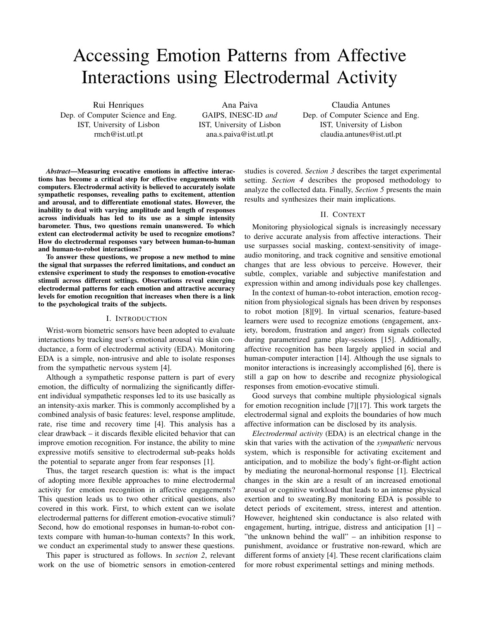# Accessing Emotion Patterns from Affective Interactions using Electrodermal Activity

Rui Henriques Dep. of Computer Science and Eng. IST, University of Lisbon rmch@ist.utl.pt

Ana Paiva GAIPS, INESC-ID *and* IST, University of Lisbon ana.s.paiva@ist.utl.pt

Claudia Antunes Dep. of Computer Science and Eng. IST, University of Lisbon claudia.antunes@ist.utl.pt

*Abstract*—Measuring evocative emotions in affective interactions has become a critical step for effective engagements with computers. Electrodermal activity is believed to accurately isolate sympathetic responses, revealing paths to excitement, attention and arousal, and to differentiate emotional states. However, the inability to deal with varying amplitude and length of responses across individuals has led to its use as a simple intensity barometer. Thus, two questions remain unanswered. To which extent can electrodermal activity be used to recognize emotions? How do electrodermal responses vary between human-to-human and human-to-robot interactions?

To answer these questions, we propose a new method to mine the signal that surpasses the referred limitations, and conduct an extensive experiment to study the responses to emotion-evocative stimuli across different settings. Observations reveal emerging electrodermal patterns for each emotion and attractive accuracy levels for emotion recognition that increases when there is a link to the psychological traits of the subjects.

# I. INTRODUCTION

Wrist-worn biometric sensors have been adopted to evaluate interactions by tracking user's emotional arousal via skin conductance, a form of electrodermal activity (EDA). Monitoring EDA is a simple, non-intrusive and able to isolate responses from the sympathetic nervous system [4].

Although a sympathetic response pattern is part of every emotion, the difficulty of normalizing the significantly different individual sympathetic responses led to its use basically as an intensity-axis marker. This is commonly accomplished by a combined analysis of basic features: level, response amplitude, rate, rise time and recovery time [4]. This analysis has a clear drawback – it discards flexible elicited behavior that can improve emotion recognition. For instance, the ability to mine expressive motifs sensitive to electrodermal sub-peaks holds the potential to separate anger from fear responses [1].

Thus, the target research question is: what is the impact of adopting more flexible approaches to mine electrodermal activity for emotion recognition in affective engagements? This question leads us to two other critical questions, also covered in this work. First, to which extent can we isolate electrodermal patterns for different emotion-evocative stimuli? Second, how do emotional responses in human-to-robot contexts compare with human-to-human contexts? In this work, we conduct an experimental study to answer these questions.

This paper is structured as follows. In *section 2*, relevant work on the use of biometric sensors in emotion-centered studies is covered. *Section 3* describes the target experimental setting. *Section 4* describes the proposed methodology to analyze the collected data. Finally, *Section 5* presents the main results and synthesizes their main implications.

# II. CONTEXT

Monitoring physiological signals is increasingly necessary to derive accurate analysis from affective interactions. Their use surpasses social masking, context-sensitivity of imageaudio monitoring, and track cognitive and sensitive emotional changes that are less obvious to perceive. However, their subtle, complex, variable and subjective manifestation and expression within and among individuals pose key challenges.

In the context of human-to-robot interaction, emotion recognition from physiological signals has been driven by responses to robot motion [8][9]. In virtual scenarios, feature-based learners were used to recognize emotions (engagement, anxiety, boredom, frustration and anger) from signals collected during parametrized game play-sessions [15]. Additionally, affective recognition has been largely applied in social and human-computer interaction [14]. Although the use signals to monitor interactions is increasingly accomplished [6], there is still a gap on how to describe and recognize physiological responses from emotion-evocative stimuli.

Good surveys that combine multiple physiological signals for emotion recognition include [7][17]. This work targets the electrodermal signal and exploits the boundaries of how much affective information can be disclosed by its analysis.

*Electrodermal activity* (EDA) is an electrical change in the skin that varies with the activation of the *sympathetic* nervous system, which is responsible for activating excitement and anticipation, and to mobilize the body's fight-or-flight action by mediating the neuronal-hormonal response [1]. Electrical changes in the skin are a result of an increased emotional arousal or cognitive workload that leads to an intense physical exertion and to sweating.By monitoring EDA is possible to detect periods of excitement, stress, interest and attention. However, heightened skin conductance is also related with engagement, hurting, intrigue, distress and anticipation [1] – "the unknown behind the wall" – an inhibition response to punishment, avoidance or frustrative non-reward, which are different forms of anxiety [4]. These recent clarifications claim for more robust experimental settings and mining methods.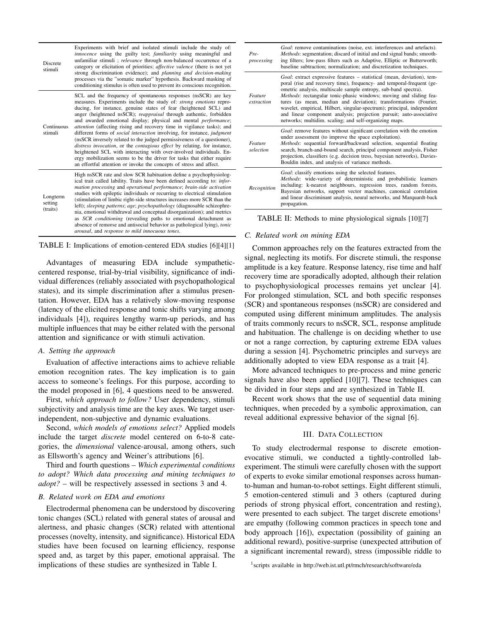| <b>Discrete</b><br>stimuli      | Experiments with brief and isolated stimuli include the study of:<br>innocence using the guilty test; <i>familiarity</i> using meaningful and<br>unfamiliar stimuli ; relevance through non-balanced occurrence of a<br>category or elicitation of priorities; <i>affective valence</i> (there is not yet<br>strong discrimination evidence); and planning and decision-making<br>processes via the "somatic marker" hypothesis. Backward masking of<br>conditioning stimulus is often used to prevent its conscious recognition.                                                                                                                                                                                                                                                                                                                                                             |
|---------------------------------|-----------------------------------------------------------------------------------------------------------------------------------------------------------------------------------------------------------------------------------------------------------------------------------------------------------------------------------------------------------------------------------------------------------------------------------------------------------------------------------------------------------------------------------------------------------------------------------------------------------------------------------------------------------------------------------------------------------------------------------------------------------------------------------------------------------------------------------------------------------------------------------------------|
| Continuous<br>stimuli           | SCL and the frequency of spontaneous responses (nsSCR) are key<br>measures. Experiments include the study of: strong emotions repro-<br>ducing, for instance, genuine states of fear (heightened SCL) and<br>anger (heightened nsSCR); reappraisal through authentic, forbidden<br>and awarded emotional display; physical and mental performance;<br>attention (affecting rising and recovery time in vigilance tasks); and<br>different forms of <i>social interaction</i> involving, for instance, judgment<br>(nsSCR inversely related to the judged permissiveness of a questioner),<br>distress invocation, or the contagious effect by relating, for instance,<br>heightened SCL with interacting with over-involved individuals. En-<br>ergy mobilization seems to be the driver for tasks that either require<br>an effortful attention or invoke the concepts of stress and affect. |
| Longterm<br>setting<br>(traits) | High nsSCR rate and slow SCR habituation define a psychophysiolog-<br>ical trait called lability. Traits have been defined according to: infor-<br>mation processing and operational performance; brain-side activation<br>studies with epileptic individuals or recurring to electrical stimulation<br>(stimulation of limbic right-side structures increases more SCR than the<br>left); sleeping patterns; age; psychopathology (diagnosable schizophre-<br>nia, emotional withdrawal and conceptual disorganization); and metrics<br>as SCR conditioning (revealing paths to emotional detachment as<br>absence of remorse and antisocial behavior as pathological lying), tonic<br>arousal, and response to mild innocuous tones.                                                                                                                                                        |

TABLE I: Implications of emotion-centered EDA studies [6][4][1]

Advantages of measuring EDA include sympatheticcentered response, trial-by-trial visibility, significance of individual differences (reliably associated with psychopathological states), and its simple discrimination after a stimulus presentation. However, EDA has a relatively slow-moving response (latency of the elicited response and tonic shifts varying among individuals [4]), requires lengthy warm-up periods, and has multiple influences that may be either related with the personal attention and significance or with stimuli activation.

### *A. Setting the approach*

Evaluation of affective interactions aims to achieve reliable emotion recognition rates. The key implication is to gain access to someone's feelings. For this purpose, according to the model proposed in [6], 4 questions need to be answered.

First, *which approach to follow?* User dependency, stimuli subjectivity and analysis time are the key axes. We target userindependent, non-subjective and dynamic evaluations.

Second, *which models of emotions select?* Applied models include the target *discrete* model centered on 6-to-8 categories, the *dimensional* valence-arousal, among others, such as Ellsworth's agency and Weiner's attributions [6].

Third and fourth questions – *Which experimental conditions to adopt? Which data processing and mining techniques to adopt?* – will be respectively assessed in sections 3 and 4.

## *B. Related work on EDA and emotions*

Electrodermal phenomena can be understood by discovering tonic changes (SCL) related with general states of arousal and alertness, and phasic changes (SCR) related with attentional processes (novelty, intensity, and significance). Historical EDA studies have been focused on learning efficiency, response speed and, as target by this paper, emotional appraisal. The implications of these studies are synthesized in Table I.

| Pre-<br>processing    | Goal: remove contaminations (noise, ext. interferences and artefacts).<br>Methods: segmentation; discard of initial and end signal bands; smooth-<br>ing filters; low-pass filters such as Adaptive, Elliptic or Butterworth;<br>baseline subtraction; normalization; and discretization techniques.                                                                                                                                                                                                                                                                      |
|-----------------------|---------------------------------------------------------------------------------------------------------------------------------------------------------------------------------------------------------------------------------------------------------------------------------------------------------------------------------------------------------------------------------------------------------------------------------------------------------------------------------------------------------------------------------------------------------------------------|
| Feature<br>extraction | Goal: extract expressive features - statistical (mean, deviation), tem-<br>poral (rise and recovery time), frequency- and temporal-frequent (ge-<br>ometric analysis, multiscale sample entropy, sub-band spectra).<br>Methods: rectangular tonic-phasic windows; moving and sliding fea-<br>tures (as mean, median and deviation); transformations (Fourier,<br>wavelet, empirical, Hilbert, singular-spectrum); principal, independent<br>and linear component analysis; projection pursuit; auto-associative<br>networks; multidim. scaling; and self-organizing maps. |
| Feature<br>selection  | Goal: remove features without significant correlation with the emotion<br>under assessment (to improve the space exploitation).<br>Methods: sequential forward/backward selection, sequential floating<br>search, branch-and-bound search, principal component analysis, Fisher<br>projection, classifiers (e.g. decision tress, bayesian networks), Davies-<br>Bouldin index, and analysis of variance methods.                                                                                                                                                          |
| Recognition           | Goal: classify emotions using the selected features.<br>Methods: wide-variety of deterministic and probabilistic learners<br>including: k-nearest neighbours, regression trees, random forests,<br>Bayesian networks, support vector machines, canonical correlation<br>and linear discriminant analysis, neural networks, and Marquardt-back<br>propagation.                                                                                                                                                                                                             |

TABLE II: Methods to mine physiological signals [10][7]

## *C. Related work on mining EDA*

Common approaches rely on the features extracted from the signal, neglecting its motifs. For discrete stimuli, the response amplitude is a key feature. Response latency, rise time and half recovery time are sporadically adopted, although their relation to psychophysiological processes remains yet unclear [4]. For prolonged stimulation, SCL and both specific responses (SCR) and spontaneous responses (nsSCR) are considered and computed using different minimum amplitudes. The analysis of traits commonly recurs to nsSCR, SCL, response amplitude and habituation. The challenge is on deciding whether to use or not a range correction, by capturing extreme EDA values during a session [4]. Psychometric principles and surveys are additionally adopted to view EDA response as a trait [4].

More advanced techniques to pre-process and mine generic signals have also been applied [10][7]. These techniques can be divided in four steps and are synthesized in Table II.

Recent work shows that the use of sequential data mining techniques, when preceded by a symbolic approximation, can reveal additional expressive behavior of the signal [6].

## III. DATA COLLECTION

To study electrodermal response to discrete emotionevocative stimuli, we conducted a tightly-controlled labexperiment. The stimuli were carefully chosen with the support of experts to evoke similar emotional responses across humanto-human and human-to-robot settings. Eight different stimuli, 5 emotion-centered stimuli and 3 others (captured during periods of strong physical effort, concentration and resting), were presented to each subject. The target discrete emotions<sup>1</sup> are empathy (following common practices in speech tone and body approach [16]), expectation (possibility of gaining an additional reward), positive-surprise (unexpected attribution of a significant incremental reward), stress (impossible riddle to

1 scripts available in http://web.ist.utl.pt/rmch/research/software/eda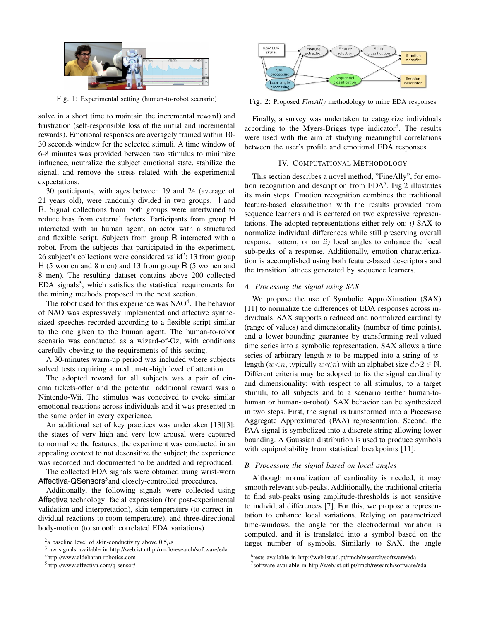

Fig. 1: Experimental setting (human-to-robot scenario)

solve in a short time to maintain the incremental reward) and frustration (self-responsible loss of the initial and incremental rewards). Emotional responses are averagely framed within 10- 30 seconds window for the selected stimuli. A time window of 6-8 minutes was provided between two stimulus to minimize influence, neutralize the subject emotional state, stabilize the signal, and remove the stress related with the experimental expectations.

30 participants, with ages between 19 and 24 (average of 21 years old), were randomly divided in two groups, H and R. Signal collections from both groups were intertwined to reduce bias from external factors. Participants from group H interacted with an human agent, an actor with a structured and flexible script. Subjects from group R interacted with a robot. From the subjects that participated in the experiment, 26 subject's collections were considered valid<sup>2</sup>: 13 from group H (5 women and 8 men) and 13 from group R (5 women and 8 men). The resulting dataset contains above 200 collected  $EDA$  signals<sup>3</sup>, which satisfies the statistical requirements for the mining methods proposed in the next section.

The robot used for this experience was  $NAO<sup>4</sup>$ . The behavior of NAO was expressively implemented and affective synthesized speeches recorded according to a flexible script similar to the one given to the human agent. The human-to-robot scenario was conducted as a wizard-of-Oz, with conditions carefully obeying to the requirements of this setting.

A 30-minutes warm-up period was included where subjects solved tests requiring a medium-to-high level of attention.

The adopted reward for all subjects was a pair of cinema tickets-offer and the potential additional reward was a Nintendo-Wii. The stimulus was conceived to evoke similar emotional reactions across individuals and it was presented in the same order in every experience.

An additional set of key practices was undertaken [13][3]: the states of very high and very low arousal were captured to normalize the features; the experiment was conducted in an appealing context to not desensitize the subject; the experience was recorded and documented to be audited and reproduced.

The collected EDA signals were obtained using wrist-worn Affectiva-QSensors<sup>5</sup> and closely-controlled procedures.

Additionally, the following signals were collected using Affectiva technology: facial expression (for post-experimental validation and interpretation), skin temperature (to correct individual reactions to room temperature), and three-directional body-motion (to smooth correlated EDA variations).



Fig. 2: Proposed *FineAlly* methodology to mine EDA responses

Finally, a survey was undertaken to categorize individuals according to the Myers-Briggs type indicator<sup>6</sup>. The results were used with the aim of studying meaningful correlations between the user's profile and emotional EDA responses.

## IV. COMPUTATIONAL METHODOLOGY

This section describes a novel method, "FineAlly", for emotion recognition and description from  $EDA^7$ . Fig.2 illustrates its main steps. Emotion recognition combines the traditional feature-based classification with the results provided from sequence learners and is centered on two expressive representations. The adopted representations either rely on: *i)* SAX to normalize individual differences while still preserving overall response pattern, or on *ii)* local angles to enhance the local sub-peaks of a response. Additionally, emotion characterization is accomplished using both feature-based descriptors and the transition lattices generated by sequence learners.

## *A. Processing the signal using SAX*

We propose the use of Symbolic ApproXimation (SAX) [11] to normalize the differences of EDA responses across individuals. SAX supports a reduced and normalized cardinality (range of values) and dimensionality (number of time points), and a lower-bounding guarantee by transforming real-valued time series into a symbolic representation. SAX allows a time series of arbitrary length  $n$  to be mapped into a string of  $w$ length (w<n, typically  $w \ll n$ ) with an alphabet size  $d > 2 \in \mathbb{N}$ . Different criteria may be adopted to fix the signal cardinality and dimensionality: with respect to all stimulus, to a target stimuli, to all subjects and to a scenario (either human-tohuman or human-to-robot). SAX behavior can be synthesized in two steps. First, the signal is transformed into a Piecewise Aggregate Approximated (PAA) representation. Second, the PAA signal is symbolized into a discrete string allowing lower bounding. A Gaussian distribution is used to produce symbols with equiprobability from statistical breakpoints [11].

# *B. Processing the signal based on local angles*

Although normalization of cardinality is needed, it may smooth relevant sub-peaks. Additionally, the traditional criteria to find sub-peaks using amplitude-thresholds is not sensitive to individual differences [7]. For this, we propose a representation to enhance local variations. Relying on parametrized time-windows, the angle for the electrodermal variation is computed, and it is translated into a symbol based on the target number of symbols. Similarly to SAX, the angle

<sup>&</sup>lt;sup>2</sup>a baseline level of skin-conductivity above  $0.5\mu s$ 

<sup>&</sup>lt;sup>3</sup>raw signals available in http://web.ist.utl.pt/rmch/research/software/eda

<sup>4</sup>http://www.aldebaran-robotics.com

<sup>5</sup>http://www.affectiva.com/q-sensor/

<sup>6</sup> tests available in http://web.ist.utl.pt/rmch/research/software/eda

<sup>7</sup> software available in http://web.ist.utl.pt/rmch/research/software/eda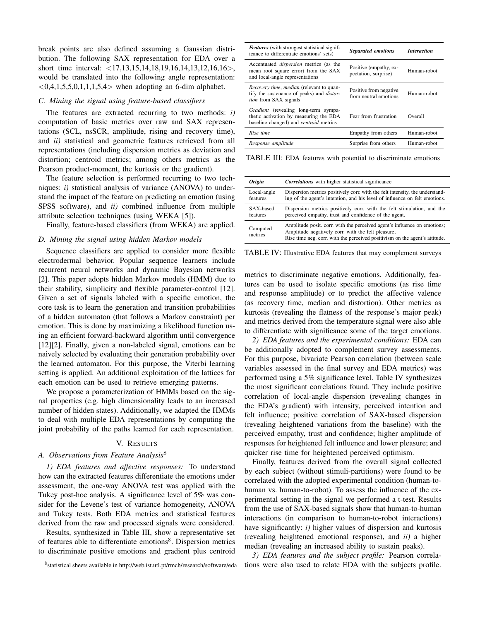break points are also defined assuming a Gaussian distribution. The following SAX representation for EDA over a short time interval: <17,13,15,14,18,19,16,14,13,12,16,16>, would be translated into the following angle representation:  $< 0.4, 1, 5, 5, 0, 1, 1, 1, 5, 4$  when adopting an 6-dim alphabet.

## *C. Mining the signal using feature-based classifiers*

The features are extracted recurring to two methods: *i)* computation of basic metrics over raw and SAX representations (SCL, nsSCR, amplitude, rising and recovery time), and *ii)* statistical and geometric features retrieved from all representations (including dispersion metrics as deviation and distortion; centroid metrics; among others metrics as the Pearson product-moment, the kurtosis or the gradient).

The feature selection is performed recurring to two techniques: *i)* statistical analysis of variance (ANOVA) to understand the impact of the feature on predicting an emotion (using SPSS software), and *ii)* combined influence from multiple attribute selection techniques (using WEKA [5]).

Finally, feature-based classifiers (from WEKA) are applied.

## *D. Mining the signal using hidden Markov models*

Sequence classifiers are applied to consider more flexible electrodermal behavior. Popular sequence learners include recurrent neural networks and dynamic Bayesian networks [2]. This paper adopts hidden Markov models (HMM) due to their stability, simplicity and flexible parameter-control [12]. Given a set of signals labeled with a specific emotion, the core task is to learn the generation and transition probabilities of a hidden automaton (that follows a Markov constraint) per emotion. This is done by maximizing a likelihood function using an efficient forward-backward algorithm until convergence [12][2]. Finally, given a non-labeled signal, emotions can be naively selected by evaluating their generation probability over the learned automaton. For this purpose, the Viterbi learning setting is applied. An additional exploitation of the lattices for each emotion can be used to retrieve emerging patterns.

We propose a parameterization of HMMs based on the signal properties (e.g. high dimensionality leads to an increased number of hidden states). Additionally, we adapted the HMMs to deal with multiple EDA representations by computing the joint probability of the paths learned for each representation.

## V. RESULTS

## *A. Observations from Feature Analysis*<sup>8</sup>

*1) EDA features and affective responses:* To understand how can the extracted features differentiate the emotions under assessment, the one-way ANOVA test was applied with the Tukey post-hoc analysis. A significance level of 5% was consider for the Levene's test of variance homogeneity, ANOVA and Tukey tests. Both EDA metrics and statistical features derived from the raw and processed signals were considered.

Results, synthesized in Table III, show a representative set of features able to differentiate emotions<sup>8</sup>. Dispersion metrics to discriminate positive emotions and gradient plus centroid

| <b>Features</b> (with strongest statistical signif-<br>icance to differentiate emotions' sets)                                  | Separated emotions                              | <i>Interaction</i> |  |
|---------------------------------------------------------------------------------------------------------------------------------|-------------------------------------------------|--------------------|--|
| Accentuated <i>dispersion</i> metrics (as the<br>mean root square error) from the SAX<br>and local-angle representations        | Positive (empathy, ex-<br>pectation, surprise)  | Human-robot        |  |
| Recovery time, median (relevant to quan-<br>tify the sustenance of peaks) and <i>distor-</i><br><i>tion</i> from SAX signals    | Positive from negative<br>from neutral emotions | Human-robot        |  |
| Gradient (revealing long-term sympa-<br>thetic activation by measuring the EDA<br>baseline changed) and <i>centroid</i> metrics | Fear from frustration                           | Overall            |  |
| Rise time                                                                                                                       | Empathy from others                             | Human-robot        |  |
| Response amplitude                                                                                                              | Surprise from others                            | Human-robot        |  |

TABLE III: EDA features with potential to discriminate emotions

| <i><b>Origin</b></i>    | <b>Correlations</b> with higher statistical significance                                                                                                                                                      |
|-------------------------|---------------------------------------------------------------------------------------------------------------------------------------------------------------------------------------------------------------|
| Local-angle<br>features | Dispersion metrics positively corr, with the felt intensity, the understand-<br>ing of the agent's intention, and his level of influence on felt emotions.                                                    |
| SAX-based<br>features   | Dispersion metrics positively corr. with the felt stimulation, and the<br>perceived empathy, trust and confidence of the agent.                                                                               |
| Computed<br>metrics     | Amplitude posit, corr, with the perceived agent's influence on emotions;<br>Amplitude negatively corr. with the felt pleasure;<br>Rise time neg. corr. with the perceived positivism on the agent's attitude. |

TABLE IV: Illustrative EDA features that may complement surveys

metrics to discriminate negative emotions. Additionally, features can be used to isolate specific emotions (as rise time and response amplitude) or to predict the affective valence (as recovery time, median and distortion). Other metrics as kurtosis (revealing the flatness of the response's major peak) and metrics derived from the temperature signal were also able to differentiate with significance some of the target emotions.

*2) EDA features and the experimental conditions:* EDA can be additionally adopted to complement survey assessments. For this purpose, bivariate Pearson correlation (between scale variables assessed in the final survey and EDA metrics) was performed using a 5% significance level. Table IV synthesizes the most significant correlations found. They include positive correlation of local-angle dispersion (revealing changes in the EDA's gradient) with intensity, perceived intention and felt influence; positive correlation of SAX-based dispersion (revealing heightened variations from the baseline) with the perceived empathy, trust and confidence; higher amplitude of responses for heightened felt influence and lower pleasure; and quicker rise time for heightened perceived optimism.

Finally, features derived from the overall signal collected by each subject (without stimuli-partitions) were found to be correlated with the adopted experimental condition (human-tohuman vs. human-to-robot). To assess the influence of the experimental setting in the signal we performed a t-test. Results from the use of SAX-based signals show that human-to-human interactions (in comparison to human-to-robot interactions) have significantly: *i)* higher values of dispersion and kurtosis (revealing heightened emotional response), and *ii)* a higher median (revealing an increased ability to sustain peaks).

*3) EDA features and the subject profile:* Pearson correlations were also used to relate EDA with the subjects profile.

<sup>8</sup> statistical sheets available in http://web.ist.utl.pt/rmch/research/software/eda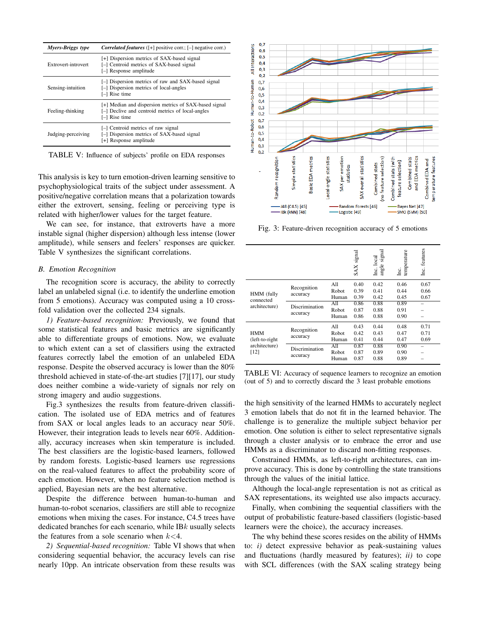| Myers-Briggs type   | <i>Correlated features</i> ( $[+]$ positive corr.; $[]-]$ negative corr.)                                                  |  |  |  |
|---------------------|----------------------------------------------------------------------------------------------------------------------------|--|--|--|
| Extrovert-introvert | [+] Dispersion metrics of SAX-based signal<br>[-] Centroid metrics of SAX-based signal<br>[-] Response amplitude           |  |  |  |
| Sensing-intuition   | [-] Dispersion metrics of raw and SAX-based signal<br>[-] Dispersion metrics of local-angles<br>$[-]$ Rise time            |  |  |  |
| Feeling-thinking    | [+] Median and dispersion metrics of SAX-based signal<br>[-] Declive and centroid metrics of local-angles<br>[-] Rise time |  |  |  |
| Judging-perceiving  | [-] Centroid metrics of raw signal<br>[-] Dispersion metrics of SAX-based signal<br>[+] Response amplitude                 |  |  |  |

TABLE V: Influence of subjects' profile on EDA responses

This analysis is key to turn emotion-driven learning sensitive to psychophysiological traits of the subject under assessment. A positive/negative correlation means that a polarization towards either the extrovert, sensing, feeling or perceiving type is related with higher/lower values for the target feature.

We can see, for instance, that extroverts have a more instable signal (higher dispersion) although less intense (lower amplitude), while sensers and feelers' responses are quicker. Table V synthesizes the significant correlations.

## *B. Emotion Recognition*

The recognition score is accuracy, the ability to correctly label an unlabeled signal (i.e. to identify the underline emotion from 5 emotions). Accuracy was computed using a 10 crossfold validation over the collected 234 signals.

*1) Feature-based recognition:* Previously, we found that some statistical features and basic metrics are significantly able to differentiate groups of emotions. Now, we evaluate to which extent can a set of classifiers using the extracted features correctly label the emotion of an unlabeled EDA response. Despite the observed accuracy is lower than the 80% threshold achieved in state-of-the-art studies [7][17], our study does neither combine a wide-variety of signals nor rely on strong imagery and audio suggestions.

Fig.3 synthesizes the results from feature-driven classification. The isolated use of EDA metrics and of features from SAX or local angles leads to an accuracy near 50%. However, their integration leads to levels near 60%. Additionally, accuracy increases when skin temperature is included. The best classifiers are the logistic-based learners, followed by random forests. Logistic-based learners use regressions on the real-valued features to affect the probability score of each emotion. However, when no feature selection method is applied, Bayesian nets are the best alternative.

Despite the difference between human-to-human and human-to-robot scenarios, classifiers are still able to recognize emotions when mixing the cases. For instance, C4.5 trees have dedicated branches for each scenario, while IB $k$  usually selects the features from a sole scenario when  $k < 4$ .

*2) Sequential-based recognition:* Table VI shows that when considering sequential behavior, the accuracy levels can rise nearly 10pp. An intricate observation from these results was



Fig. 3: Feature-driven recognition accuracy of 5 emotions

|                 |                            |       | signal<br>SAX | signal<br>Inc. local<br>angle | temperature<br>Ιnς. | Inc. features |
|-----------------|----------------------------|-------|---------------|-------------------------------|---------------------|---------------|
|                 | Recognition<br>accuracy    | A11   | 0.40          | 0.42                          | 0.46                | 0.67          |
| HMM (fully      |                            | Robot | 0.39          | 0.41                          | 0.44                | 0.66          |
| connected       |                            | Human | 0.39          | 0.42                          | 0.45                | 0.67          |
| architecture)   | Discrimination<br>accuracy | A11   | 0.86          | 0.88                          | 0.89                |               |
|                 |                            | Robot | 0.87          | 0.88                          | 0.91                |               |
|                 |                            | Human | 0.86          | 0.88                          | 0.90                |               |
|                 | Recognition<br>accuracy    | All   | 0.43          | 0.44                          | 0.48                | 0.71          |
| HMM             |                            | Robot | 0.42          | 0.43                          | 0.47                | 0.71          |
| (left-to-right) |                            | Human | 0.41          | 0.44                          | 0.47                | 0.69          |
| architecture)   | Discrimination             | A11   | 0.87          | 0.88                          | 0.90                |               |
| $[12]$          |                            | Robot | 0.87          | 0.89                          | 0.90                |               |
|                 | accuracy                   | Human | 0.87          | 0.88                          | 0.89                |               |

TABLE VI: Accuracy of sequence learners to recognize an emotion (out of 5) and to correctly discard the 3 least probable emotions

the high sensitivity of the learned HMMs to accurately neglect 3 emotion labels that do not fit in the learned behavior. The challenge is to generalize the multiple subject behavior per emotion. One solution is either to select representative signals through a cluster analysis or to embrace the error and use HMMs as a discriminator to discard non-fitting responses.

Constrained HMMs, as left-to-right architectures, can improve accuracy. This is done by controlling the state transitions through the values of the initial lattice.

Although the local-angle representation is not as critical as SAX representations, its weighted use also impacts accuracy.

Finally, when combining the sequential classifiers with the output of probabilistic feature-based classifiers (logistic-based learners were the choice), the accuracy increases.

The why behind these scores resides on the ability of HMMs to: *i)* detect expressive behavior as peak-sustaining values and fluctuations (hardly measured by features); *ii)* to cope with SCL differences (with the SAX scaling strategy being